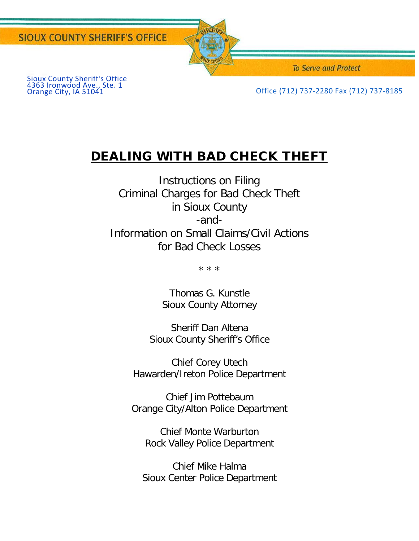Sioux County Sheriff's Office 4363 Ironwood Ave., Ste. 1



**To Serve and Protect** 

Office (712) 737-2280 Fax (712) 737-8185

# DEALING WITH BAD CHECK THEFT

Instructions on Filing Criminal Charges for Bad Check Theft in Sioux County -and-Information on Small Claims/Civil Actions for Bad Check Losses

\* \* \*

Thomas G. Kunstle Sioux County Attorney

Sheriff Dan Altena Sioux County Sheriff's Office

Chief Corey Utech Hawarden/Ireton Police Department

Chief Jim Pottebaum Orange City/Alton Police Department

Chief Monte Warburton Rock Valley Police Department

Chief Mike Halma Sioux Center Police Department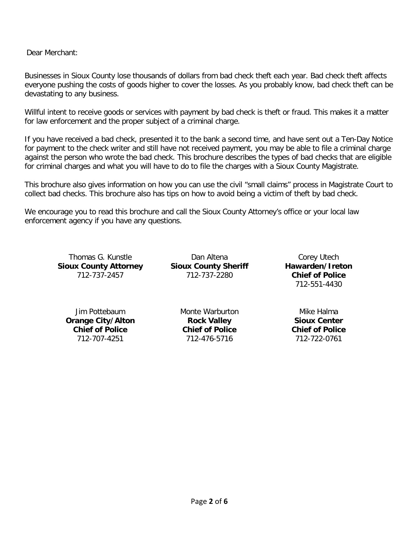Dear Merchant:

Businesses in Sioux County lose thousands of dollars from bad check theft each year. Bad check theft affects everyone pushing the costs of goods higher to cover the losses. As you probably know, bad check theft can be devastating to any business.

Willful intent to receive goods or services with payment by bad check is theft or fraud. This makes it a matter for law enforcement and the proper subject of a criminal charge.

If you have received a bad check, presented it to the bank a second time, and have sent out a Ten-Day Notice for payment to the check writer and still have not received payment, you may be able to file a criminal charge against the person who wrote the bad check. This brochure describes the types of bad checks that are eligible for criminal charges and what you will have to do to file the charges with a Sioux County Magistrate.

This brochure also gives information on how you can use the civil "small claims" process in Magistrate Court to collect bad checks. This brochure also has tips on how to avoid being a victim of theft by bad check.

We encourage you to read this brochure and call the Sioux County Attorney's office or your local law enforcement agency if you have any questions.

Thomas G. Kunstle **Sioux County Attorney** 712-737-2457

Dan Altena **Sioux County Sheriff** 712-737-2280

Corey Utech **Hawarden/Ireton Chief of Police** 712-551-4430

Jim Pottebaum **Orange City/Alton Chief of Police** 712-707-4251

Monte Warburton **Rock Valley Chief of Police** 712-476-5716

Mike Halma **Sioux Center Chief of Police** 712-722-0761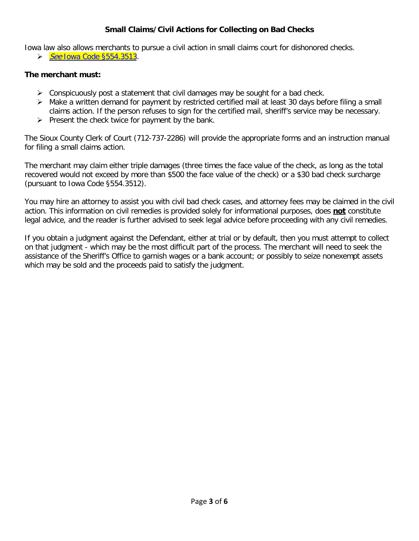### **Small Claims/Civil Actions for Collecting on Bad Checks**

Iowa law also allows merchants to pursue a civil action in small claims court for dishonored checks.

 $\triangleright$  See [Iowa Code §554.3513.](http://coolice.legis.iowa.gov/Cool-ICE/default.asp?category=billinfo&service=IowaCode&ga=83&input=554.3513)

#### **The merchant must:**

- $\triangleright$  Conspicuously post a statement that civil damages may be sought for a bad check.
- $\triangleright$  Make a written demand for payment by restricted certified mail at least 30 days before filing a small claims action. If the person refuses to sign for the certified mail, sheriff's service may be necessary.
- $\triangleright$  Present the check twice for payment by the bank.

The Sioux County Clerk of Court (712-737-2286) will provide the appropriate forms and an instruction manual for filing a small claims action.

The merchant may claim either triple damages (three times the face value of the check, as long as the total recovered would not exceed by more than \$500 the face value of the check) or a \$30 bad check surcharge (pursuant to Iowa Code §554.3512).

You may hire an attorney to assist you with civil bad check cases, and attorney fees may be claimed in the civil action. This information on civil remedies is provided solely for informational purposes, does **not** constitute legal advice, and the reader is further advised to seek legal advice before proceeding with any civil remedies.

If you obtain a judgment against the Defendant, either at trial or by default, then you must attempt to collect on that judgment - which may be the most difficult part of the process. The merchant will need to seek the assistance of the Sheriff's Office to garnish wages or a bank account; or possibly to seize nonexempt assets which may be sold and the proceeds paid to satisfy the judgment.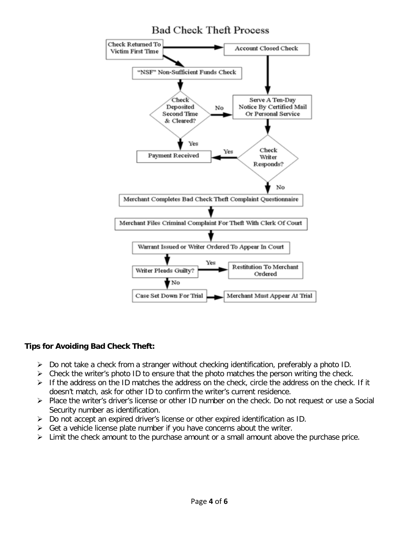# **Bad Check Theft Process**



#### **Tips for Avoiding Bad Check Theft:**

- $\triangleright$  Do not take a check from a stranger without checking identification, preferably a photo ID.
- $\triangleright$  Check the writer's photo ID to ensure that the photo matches the person writing the check.
- $\triangleright$  If the address on the ID matches the address on the check, circle the address on the check. If it doesn't match, ask for other ID to confirm the writer's current residence.
- Place the writer's driver's license or other ID number on the check. Do not request or use a Social Security number as identification.
- $\triangleright$  Do not accept an expired driver's license or other expired identification as ID.
- $\triangleright$  Get a vehicle license plate number if you have concerns about the writer.
- $\triangleright$  Limit the check amount to the purchase amount or a small amount above the purchase price.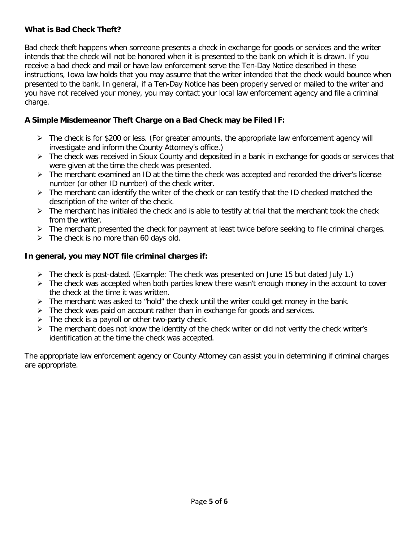## **What is Bad Check Theft?**

Bad check theft happens when someone presents a check in exchange for goods or services and the writer intends that the check will not be honored when it is presented to the bank on which it is drawn. If you receive a bad check and mail or have law enforcement serve the Ten-Day Notice described in these instructions, Iowa law holds that you may assume that the writer intended that the check would bounce when presented to the bank. In general, if a Ten-Day Notice has been properly served or mailed to the writer and you have not received your money, you may contact your local law enforcement agency and file a criminal charge.

# **A Simple Misdemeanor Theft Charge on a Bad Check may be Filed IF:**

- $\triangleright$  The check is for \$200 or less. (For greater amounts, the appropriate law enforcement agency will investigate and inform the County Attorney's office.)
- > The check was received in Sioux County and deposited in a bank in exchange for goods or services that were given at the time the check was presented.
- $\triangleright$  The merchant examined an ID at the time the check was accepted and recorded the driver's license number (or other ID number) of the check writer.
- $\triangleright$  The merchant can identify the writer of the check or can testify that the ID checked matched the description of the writer of the check.
- $\triangleright$  The merchant has initialed the check and is able to testify at trial that the merchant took the check from the writer.
- $\triangleright$  The merchant presented the check for payment at least twice before seeking to file criminal charges.
- $\triangleright$  The check is no more than 60 days old.

# **In general, you may NOT file criminal charges if:**

- $\triangleright$  The check is post-dated. (Example: The check was presented on June 15 but dated July 1.)
- $\triangleright$  The check was accepted when both parties knew there wasn't enough money in the account to cover the check at the time it was written.
- $\triangleright$  The merchant was asked to "hold" the check until the writer could get money in the bank.
- $\triangleright$  The check was paid on account rather than in exchange for goods and services.
- $\triangleright$  The check is a payroll or other two-party check.
- $\triangleright$  The merchant does not know the identity of the check writer or did not verify the check writer's identification at the time the check was accepted.

The appropriate law enforcement agency or County Attorney can assist you in determining if criminal charges are appropriate.